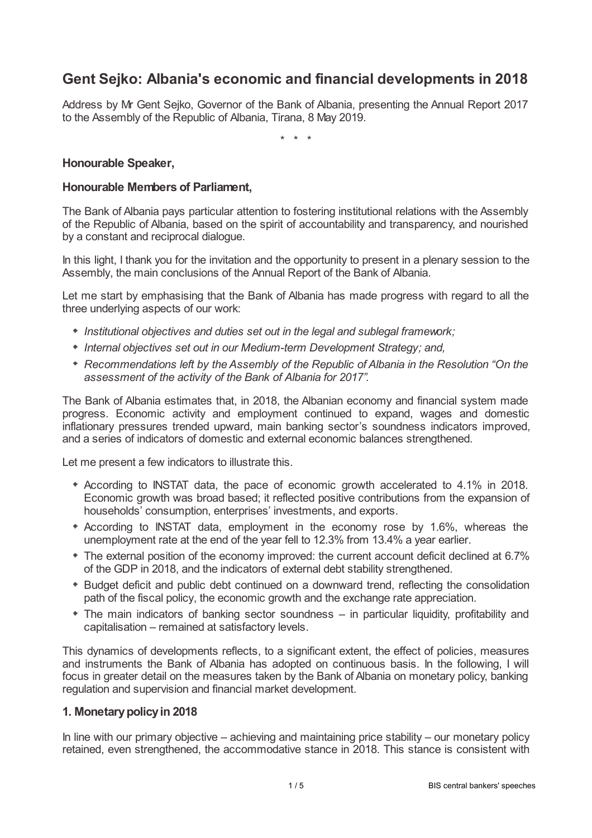# **Gent Sejko: Albania's economic and financial developments in 2018**

Address by Mr Gent Sejko, Governor of the Bank of Albania, presenting the Annual Report 2017 to the Assembly of the Republic of Albania, Tirana, 8 May 2019.

\* \* \*

# **Honourable Speaker,**

# **Honourable Members of Parliament,**

The Bank of Albania pays particular attention to fostering institutional relations with the Assembly of the Republic of Albania, based on the spirit of accountability and transparency, and nourished by a constant and reciprocal dialogue.

In this light, I thank you for the invitation and the opportunity to present in a plenary session to the Assembly, the main conclusions of the Annual Report of the Bank of Albania.

Let me start by emphasising that the Bank of Albania has made progress with regard to all the three underlying aspects of our work:

- *Institutional objectives and duties set out in the legal and sublegal framework;*
- *Internal objectives set out in our Medium-term Development Strategy; and,*
- *Recommendations left by the Assembly of the Republic of Albania in the Resolution "On the assessment of the activity of the Bank of Albania for 2017".*

The Bank of Albania estimates that, in 2018, the Albanian economy and financial system made progress. Economic activity and employment continued to expand, wages and domestic inflationary pressures trended upward, main banking sector's soundness indicators improved, and a series of indicators of domestic and external economic balances strengthened.

Let me present a few indicators to illustrate this.

- According to INSTAT data, the pace of economic growth accelerated to 4.1% in 2018. Economic growth was broad based; it reflected positive contributions from the expansion of households' consumption, enterprises' investments, and exports.
- According to INSTAT data, employment in the economy rose by 1.6%, whereas the unemployment rate at the end of the year fell to 12.3% from 13.4% a year earlier.
- The external position of the economy improved: the current account deficit declined at 6.7% of the GDP in 2018, and the indicators of external debt stability strengthened.
- Budget deficit and public debt continued on a downward trend, reflecting the consolidation path of the fiscal policy, the economic growth and the exchange rate appreciation.
- The main indicators of banking sector soundness in particular liquidity, profitability and capitalisation – remained at satisfactory levels.

This dynamics of developments reflects, to a significant extent, the effect of policies, measures and instruments the Bank of Albania has adopted on continuous basis. In the following, I will focus in greater detail on the measures taken by the Bank of Albania on monetary policy, banking regulation and supervision and financial market development.

### **1. Monetarypolicyin 2018**

In line with our primary objective – achieving and maintaining price stability – our monetary policy retained, even strengthened, the accommodative stance in 2018. This stance is consistent with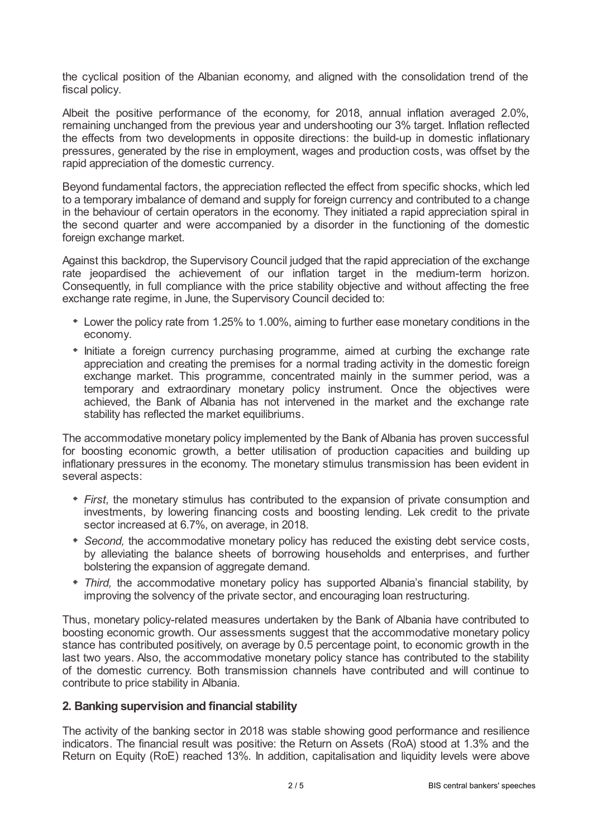the cyclical position of the Albanian economy, and aligned with the consolidation trend of the fiscal policy.

Albeit the positive performance of the economy, for 2018, annual inflation averaged 2.0%, remaining unchanged from the previous year and undershooting our 3% target. Inflation reflected the effects from two developments in opposite directions: the build-up in domestic inflationary pressures, generated by the rise in employment, wages and production costs, was offset by the rapid appreciation of the domestic currency.

Beyond fundamental factors, the appreciation reflected the effect from specific shocks, which led to a temporary imbalance of demand and supply for foreign currency and contributed to a change in the behaviour of certain operators in the economy. They initiated a rapid appreciation spiral in the second quarter and were accompanied by a disorder in the functioning of the domestic foreign exchange market.

Against this backdrop, the Supervisory Council judged that the rapid appreciation of the exchange rate jeopardised the achievement of our inflation target in the medium-term horizon. Consequently, in full compliance with the price stability objective and without affecting the free exchange rate regime, in June, the Supervisory Council decided to:

- Lower the policy rate from 1.25% to 1.00%, aiming to further ease monetary conditions in the economy.
- $*$  Initiate a foreign currency purchasing programme, aimed at curbing the exchange rate appreciation and creating the premises for a normal trading activity in the domestic foreign exchange market. This programme, concentrated mainly in the summer period, was a temporary and extraordinary monetary policy instrument. Once the objectives were achieved, the Bank of Albania has not intervened in the market and the exchange rate stability has reflected the market equilibriums.

The accommodative monetary policy implemented by the Bank of Albania has proven successful for boosting economic growth, a better utilisation of production capacities and building up inflationary pressures in the economy. The monetary stimulus transmission has been evident in several aspects:

- *First*, the monetary stimulus has contributed to the expansion of private consumption and investments, by lowering financing costs and boosting lending. Lek credit to the private sector increased at 6.7%, on average, in 2018.
- *Second,* the accommodative monetary policy has reduced the existing debt service costs, by alleviating the balance sheets of borrowing households and enterprises, and further bolstering the expansion of aggregate demand.
- *Third,* the accommodative monetary policy has supported Albania's financial stability, by improving the solvency of the private sector, and encouraging loan restructuring.

Thus, monetary policy-related measures undertaken by the Bank of Albania have contributed to boosting economic growth. Our assessments suggest that the accommodative monetary policy stance has contributed positively, on average by 0.5 percentage point, to economic growth in the last two years. Also, the accommodative monetary policy stance has contributed to the stability of the domestic currency. Both transmission channels have contributed and will continue to contribute to price stability in Albania.

### **2. Banking supervision and financial stability**

The activity of the banking sector in 2018 was stable showing good performance and resilience indicators. The financial result was positive: the Return on Assets (RoA) stood at 1.3% and the Return on Equity (RoE) reached 13%. In addition, capitalisation and liquidity levels were above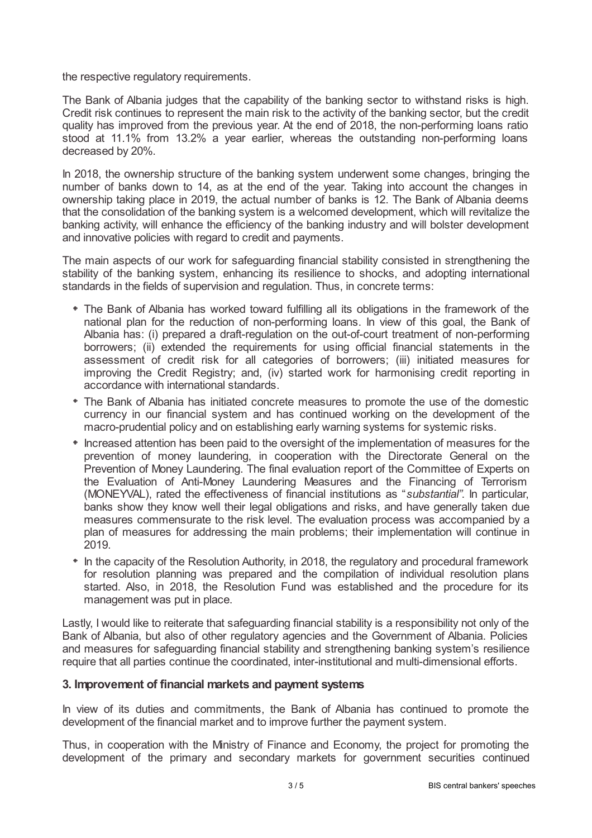the respective regulatory requirements.

The Bank of Albania judges that the capability of the banking sector to withstand risks is high. Credit risk continues to represent the main risk to the activity of the banking sector, but the credit quality has improved from the previous year. At the end of 2018, the non-performing loans ratio stood at 11.1% from 13.2% a year earlier, whereas the outstanding non-performing loans decreased by 20%.

In 2018, the ownership structure of the banking system underwent some changes, bringing the number of banks down to 14, as at the end of the year. Taking into account the changes in ownership taking place in 2019, the actual number of banks is 12. The Bank of Albania deems that the consolidation of the banking system is a welcomed development, which will revitalize the banking activity, will enhance the efficiency of the banking industry and will bolster development and innovative policies with regard to credit and payments.

The main aspects of our work for safeguarding financial stability consisted in strengthening the stability of the banking system, enhancing its resilience to shocks, and adopting international standards in the fields of supervision and regulation. Thus, in concrete terms:

- The Bank of Albania has worked toward fulfilling all its obligations in the framework of the national plan for the reduction of non-performing loans. In view of this goal, the Bank of Albania has: (i) prepared a draft-regulation on the out-of-court treatment of non-performing borrowers; (ii) extended the requirements for using official financial statements in the assessment of credit risk for all categories of borrowers; (iii) initiated measures for improving the Credit Registry; and, (iv) started work for harmonising credit reporting in accordance with international standards.
- The Bank of Albania has initiated concrete measures to promote the use of the domestic currency in our financial system and has continued working on the development of the macro-prudential policy and on establishing early warning systems for systemic risks.
- $*$  Increased attention has been paid to the oversight of the implementation of measures for the prevention of money laundering, in cooperation with the Directorate General on the Prevention of Money Laundering. The final evaluation report of the Committee of Experts on the Evaluation of Anti-Money Laundering Measures and the Financing of Terrorism (MONEYVAL), rated the effectiveness of financial institutions as "*substantial"*. In particular, banks show they know well their legal obligations and risks, and have generally taken due measures commensurate to the risk level. The evaluation process was accompanied by a plan of measures for addressing the main problems; their implementation will continue in 2019.
- In the capacity of the Resolution Authority, in 2018, the regulatory and procedural framework for resolution planning was prepared and the compilation of individual resolution plans started. Also, in 2018, the Resolution Fund was established and the procedure for its management was put in place.

Lastly, I would like to reiterate that safeguarding financial stability is a responsibility not only of the Bank of Albania, but also of other regulatory agencies and the Government of Albania. Policies and measures for safeguarding financial stability and strengthening banking system's resilience require that all parties continue the coordinated, inter-institutional and multi-dimensional efforts.

### **3. Improvement of financial markets and payment systems**

In view of its duties and commitments, the Bank of Albania has continued to promote the development of the financial market and to improve further the payment system.

Thus, in cooperation with the Ministry of Finance and Economy, the project for promoting the development of the primary and secondary markets for government securities continued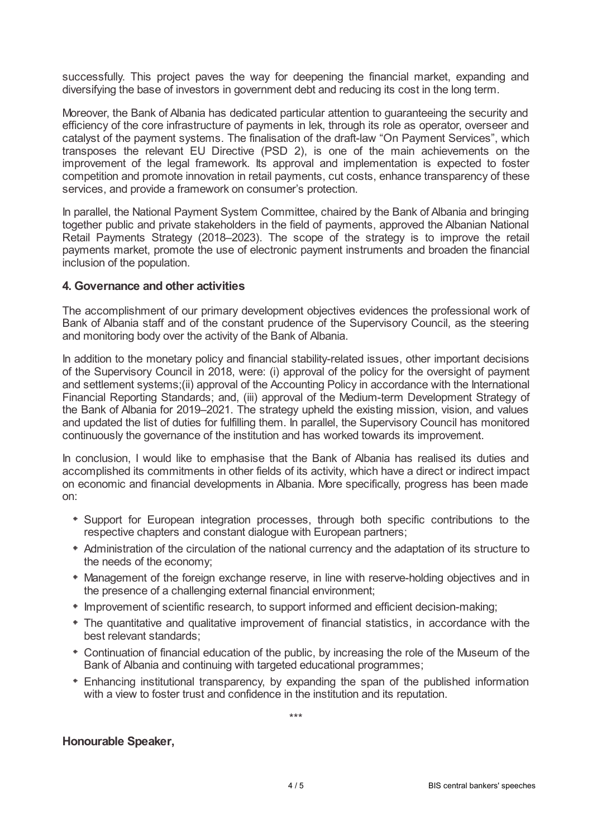successfully. This project paves the way for deepening the financial market, expanding and diversifying the base of investors in government debt and reducing its cost in the long term.

Moreover, the Bank of Albania has dedicated particular attention to guaranteeing the security and efficiency of the core infrastructure of payments in lek, through its role as operator, overseer and catalyst of the payment systems. The finalisation of the draft-law "On Payment Services", which transposes the relevant EU Directive (PSD 2), is one of the main achievements on the improvement of the legal framework. Its approval and implementation is expected to foster competition and promote innovation in retail payments, cut costs, enhance transparency of these services, and provide a framework on consumer's protection.

In parallel, the National Payment System Committee, chaired by the Bank of Albania and bringing together public and private stakeholders in the field of payments, approved the Albanian National Retail Payments Strategy (2018–2023). The scope of the strategy is to improve the retail payments market, promote the use of electronic payment instruments and broaden the financial inclusion of the population.

### **4. Governance and other activities**

The accomplishment of our primary development objectives evidences the professional work of Bank of Albania staff and of the constant prudence of the Supervisory Council, as the steering and monitoring body over the activity of the Bank of Albania.

In addition to the monetary policy and financial stability-related issues, other important decisions of the Supervisory Council in 2018, were: (i) approval of the policy for the oversight of payment and settlement systems;(ii) approval of the Accounting Policy in accordance with the International Financial Reporting Standards; and, (iii) approval of the Medium-term Development Strategy of the Bank of Albania for 2019–2021. The strategy upheld the existing mission, vision, and values and updated the list of duties for fulfilling them. In parallel, the Supervisory Council has monitored continuously the governance of the institution and has worked towards its improvement.

In conclusion, I would like to emphasise that the Bank of Albania has realised its duties and accomplished its commitments in other fields of its activity, which have a direct or indirect impact on economic and financial developments in Albania. More specifically, progress has been made on:

- Support for European integration processes, through both specific contributions to the respective chapters and constant dialogue with European partners;
- Administration of the circulation of the national currency and the adaptation of its structure to the needs of the economy;
- Management of the foreign exchange reserve, in line with reserve-holding objectives and in the presence of a challenging external financial environment;
- Improvement of scientific research, to support informed and efficient decision-making;
- The quantitative and qualitative improvement of financial statistics, in accordance with the best relevant standards;
- Continuation of financial education of the public, by increasing the role of the Museum of the Bank of Albania and continuing with targeted educational programmes;
- Enhancing institutional transparency, by expanding the span of the published information with a view to foster trust and confidence in the institution and its reputation.

\*\*\*

### **Honourable Speaker,**